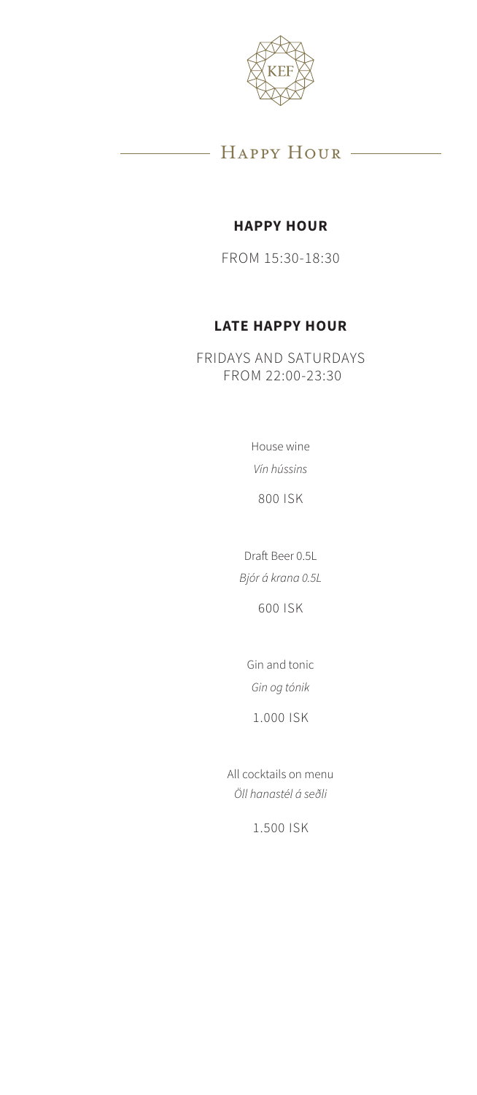

### - HAPPY HOUR

#### **HAPPY HOUR**

FROM 15:30-18:30

#### **LATE HAPPY HOUR**

FRIDAYS AND SATURDAYS FROM 22:00-23:30

> House wine *Vín hússins*

800 ISK

Draft Beer 0.5L *Bjór á krana 0.5L*

600 ISK

Gin and tonic *Gin og tónik*

1.000 ISK

All cocktails on menu *Öll hanastél á seðli*

1.500 ISK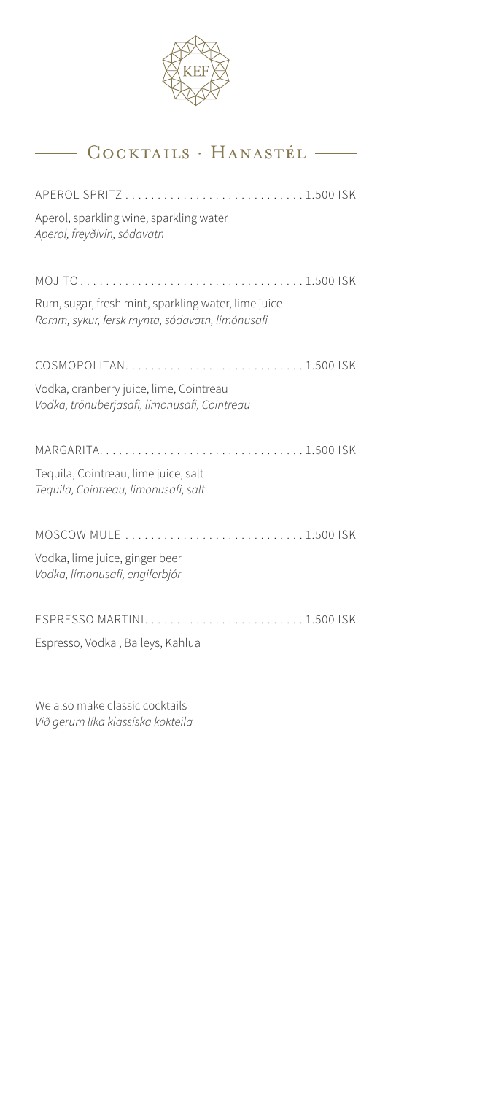

# Cocktails · Hanastél

| Aperol, sparkling wine, sparkling water<br>Aperol, freyðivín, sódavatn                                |  |
|-------------------------------------------------------------------------------------------------------|--|
| Rum, sugar, fresh mint, sparkling water, lime juice<br>Romm, sykur, fersk mynta, sódavatn, límónusafi |  |
| COSMOPOLITAN1.500 ISK                                                                                 |  |
| Vodka, cranberry juice, lime, Cointreau<br>Vodka, trönuberjasafi, límonusafi, Cointreau               |  |
|                                                                                                       |  |
| Tequila, Cointreau, lime juice, salt<br>Tequila, Cointreau, límonusafi, salt                          |  |
|                                                                                                       |  |
| Vodka, lime juice, ginger beer<br>Vodka, límonusafi, engiferbjór                                      |  |
| ESPRESSO MARTINI1.500 ISK                                                                             |  |
| Espresso, Vodka, Baileys, Kahlua                                                                      |  |

We also make classic cocktails *Við gerum líka klassíska kokteila*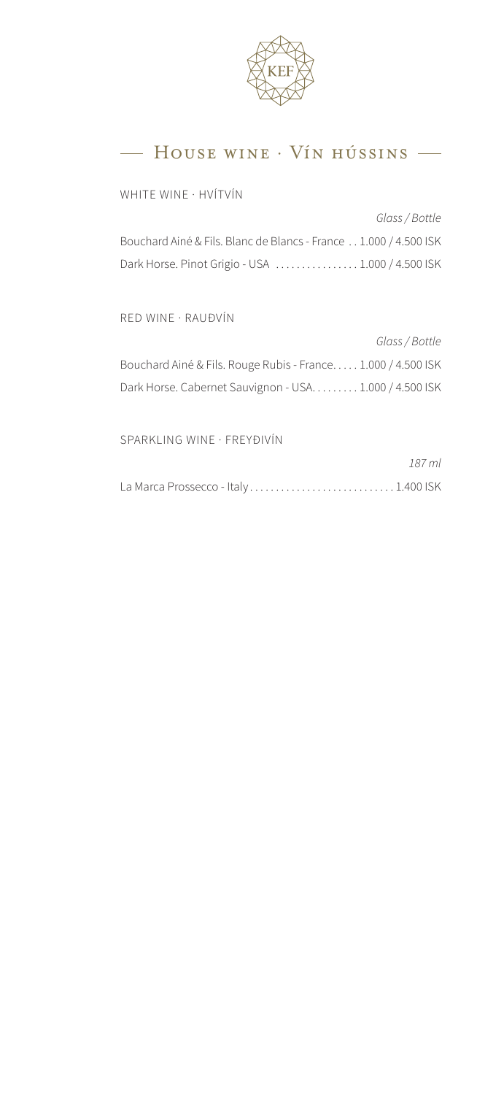

### - HOUSE WINE · VÍN HÚSSINS -

WHITE WINE · HVÍTVÍN

*Glass / Bottle* Bouchard Ainé & Fils. Blanc de Blancs - France . . 1.000 / 4.500 ISK Dark Horse. Pinot Grigio - USA .................. 1.000 / 4.500 ISK

RED WINE · RAUÐVÍN

| Glass / Bottle                                               |
|--------------------------------------------------------------|
| Bouchard Ainé & Fils. Rouge Rubis - France 1.000 / 4.500 ISK |
| Dark Horse. Cabernet Sauvignon - USA. 1.000 / 4.500 ISK      |

SPARKLING WINE · FREYÐIVÍN

|                                     | 187 ml |
|-------------------------------------|--------|
| La Marca Prossecco - Italy1.400 ISK |        |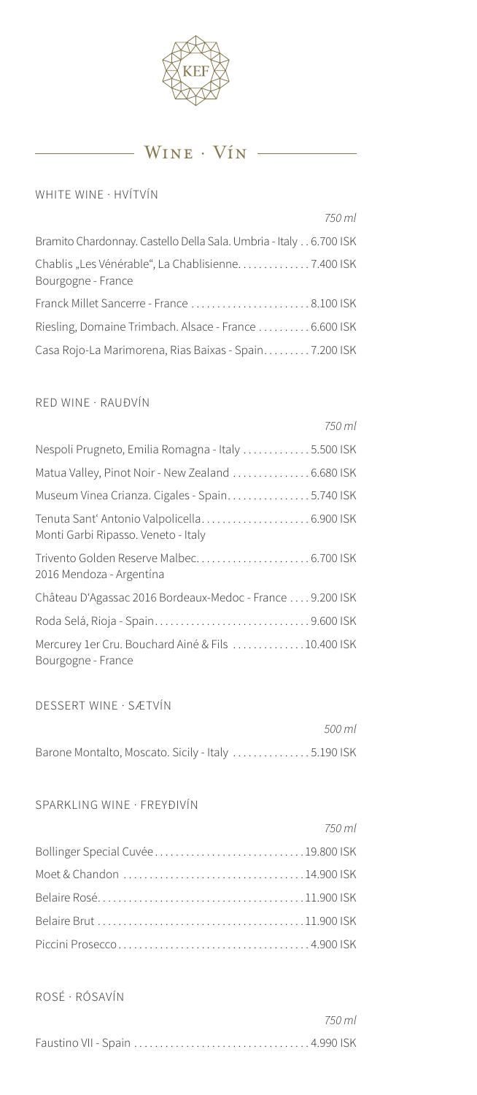

### $\frac{1}{\sqrt{N}}$  Wine  $\cdot$  Vin  $\frac{1}{\sqrt{N}}$

#### WHITE WINE · HVÍTVÍN

|                                                                   | 750 ml |
|-------------------------------------------------------------------|--------|
| Bramito Chardonnay. Castello Della Sala. Umbria - Italy 6.700 ISK |        |
| Bourgogne - France                                                |        |
| Franck Millet Sancerre - France  8.100 ISK                        |        |
| Riesling, Domaine Trimbach. Alsace - France 6.600 ISK             |        |
| Casa Rojo-La Marimorena, Rias Baixas - Spain7.200 ISK             |        |

#### RED WINE · RAUÐVÍN

#### DESSERT WINE · SÆTVÍN

|                                                    | .500 ml |
|----------------------------------------------------|---------|
| Barone Montalto, Moscato. Sicily - Italy 5.190 ISK |         |

#### SPARKLING WINE · FREYÐIVÍN

|                                   | 750 ml |
|-----------------------------------|--------|
| Bollinger Special Cuvée19.800 ISK |        |
|                                   |        |
|                                   |        |
|                                   |        |
|                                   |        |

ROSÉ · RÓSAVÍN

| 750 ml |
|--------|
|        |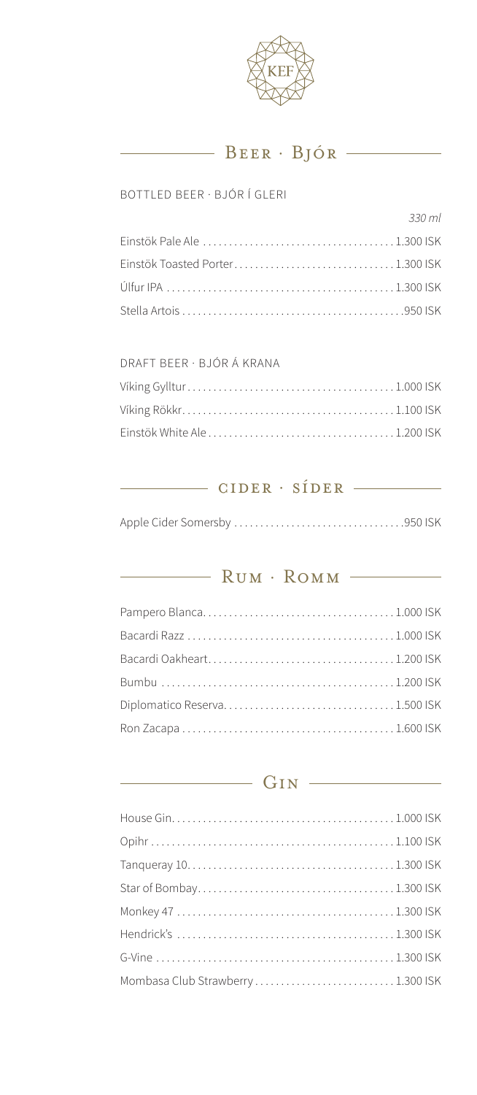

## BEER · BJÓR

#### BOTTLED BEER · BJÓR Í GLERI

|                                 | 330 ml |
|---------------------------------|--------|
|                                 |        |
| Einstök Toasted Porter1.300 ISK |        |
|                                 |        |
|                                 |        |

#### DRAFT BEER · BJÓR Á KRANA

### CIDER · SÍDER —

## RUM · ROMM

# $GIN$

| Mombasa Club Strawberry1.300 ISK |  |
|----------------------------------|--|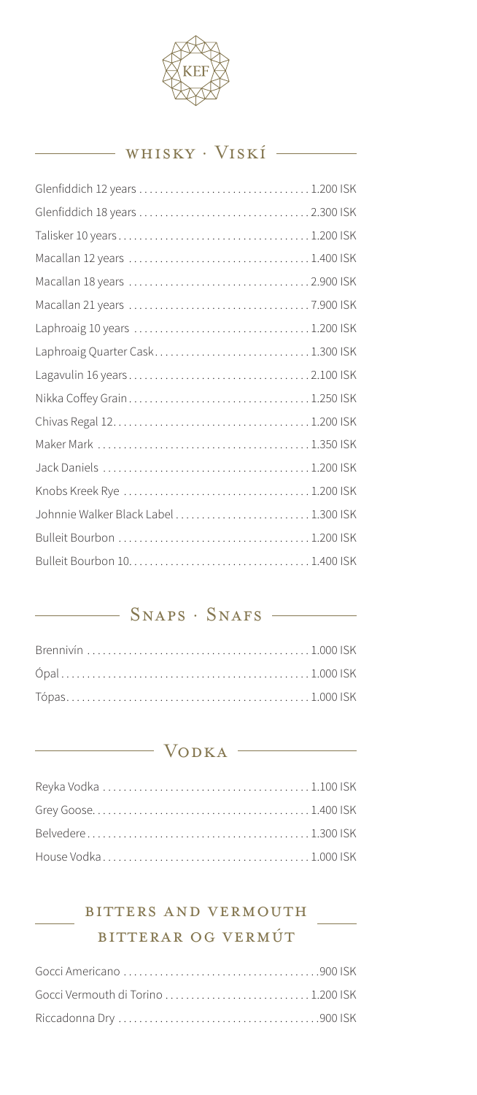

## whisky · Viskí

| Laphroaig Quarter Cask1.300 ISK       |  |
|---------------------------------------|--|
|                                       |  |
|                                       |  |
|                                       |  |
|                                       |  |
|                                       |  |
|                                       |  |
| Johnnie Walker Black Label  1.300 ISK |  |
|                                       |  |
|                                       |  |
|                                       |  |

### - SNAPS · SNAFS

## Vodka

## bitters and vermouth bitterar og vermút

 $\frac{1}{\sqrt{1-\frac{1}{2}}\left(1-\frac{1}{2}\right)}\left(\frac{1}{2}-\frac{1}{2}\right)$ 

| Gocci Vermouth di Torino  1.200 ISK |  |
|-------------------------------------|--|
|                                     |  |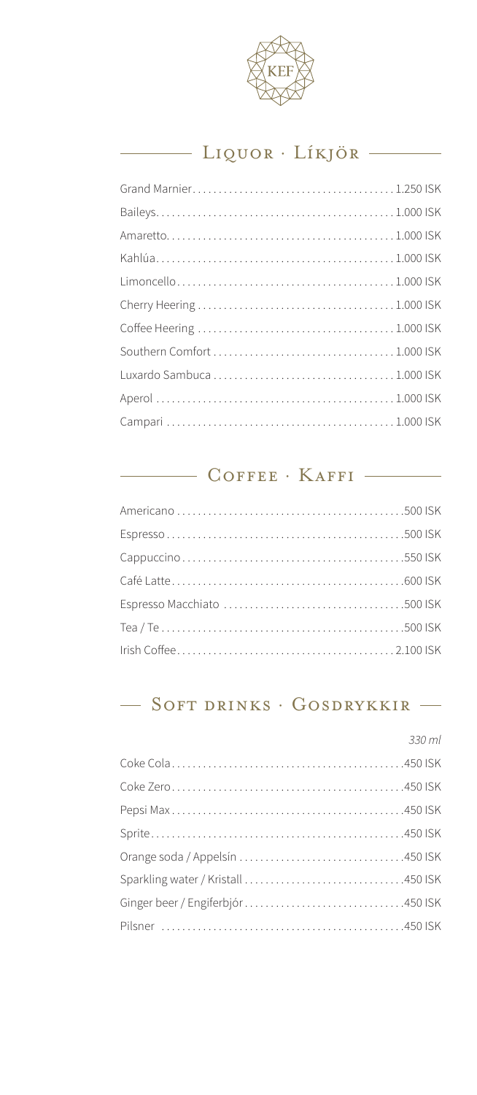

# Liquor · Líkjör

## COFFEE · KAFFI

## $-$  Soft drinks · Gosdrykkir  $-$

| 330 ml |
|--------|
|        |
|        |
|        |
|        |
|        |
|        |
|        |
|        |